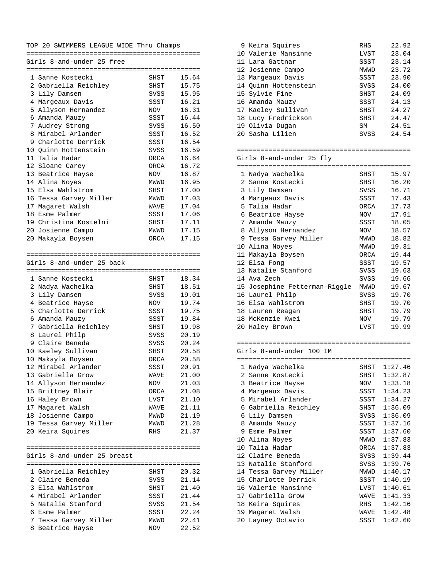## TOP 20 SWIMMERS LEAGUE WIDE Thru Champs

============================================ Girls 8-and-under 25 free

|   | 1 Sanne Kostecki            | SHST       | 15.64 |
|---|-----------------------------|------------|-------|
|   | 2 Gabriella Reichley        | SHST       | 15.75 |
|   | 3 Lily Damsen               | SVSS       | 15.95 |
|   | 4 Margeaux Davis            | SSST       | 16.21 |
|   | 5 Allyson Hernandez         | NOV        | 16.31 |
|   | 6 Amanda Mauzy              | SSST       | 16.44 |
|   | 7 Audrey Strong             | SVSS       | 16.50 |
|   | 8 Mirabel Arlander          | SSST       | 16.52 |
| 9 | Charlotte Derrick           | SSST       | 16.54 |
|   | 10 Ouinn Hottenstein        | SVSS       | 16.59 |
|   | 11 Talia Hadar              | ORCA       | 16.64 |
|   | 12 Sloane Carey             | ORCA       | 16.72 |
|   |                             |            | 16.87 |
|   | 13 Beatrice Hayse           | NOV        |       |
|   | 14 Alina Noyes              | MWWD       | 16.95 |
|   | 15 Elsa Wahlstrom           | SHST       | 17.00 |
|   | 16 Tessa Garvey Miller      | MWWD       | 17.03 |
|   | 17 Magaret Walsh            | WAVE       | 17.04 |
|   | 18 Esme Palmer              | SSST       | 17.06 |
|   | 19 Christina Kostelni       | SHST       | 17.11 |
|   | 20 Josienne Campo           | MWWD       | 17.15 |
|   | 20 Makayla Boysen           | ORCA       | 17.15 |
|   |                             |            |       |
|   | Girls 8-and-under 25 back   |            |       |
|   |                             |            |       |
|   | 1 Sanne Kostecki            | SHST       | 18.34 |
|   | 2 Nadya Wachelka            | SHST       | 18.51 |
|   | 3 Lily Damsen               | SVSS       | 19.01 |
|   | 4 Beatrice Hayse            | NOV        | 19.74 |
|   | 5 Charlotte Derrick         | SSST       | 19.75 |
|   | 6 Amanda Mauzy              | SSST       | 19.84 |
|   | 7 Gabriella Reichley        | SHST       | 19.98 |
| 8 | Laurel Philp                |            | 20.19 |
|   |                             | SVSS       |       |
|   | 9 Claire Beneda             | SVSS       | 20.24 |
|   | 10 Kaeley Sullivan          | SHST       | 20.58 |
|   | 10 Makayla Boysen           | ORCA       | 20.58 |
|   | 12 Mirabel Arlander         | SSST       | 20.91 |
|   | 13 Gabriella Grow           | WAVE       | 21.00 |
|   | 14 Allyson Hernandez        | <b>NOV</b> | 21.03 |
|   | 15 Brittney Blair           | ORCA       | 21.08 |
|   | 16 Haley Brown              | LVST       | 21.10 |
|   | 17 Magaret Walsh            | WAVE       | 21.11 |
|   | 18 Josienne Campo           | MWWD       | 21.19 |
|   | 19 Tessa Garvey Miller      | MWWD       | 21.28 |
|   | 20 Keira Squires            | <b>RHS</b> | 21.37 |
|   |                             |            |       |
|   | Girls 8-and-under 25 breast |            |       |
|   |                             |            |       |
|   | 1 Gabriella Reichley        | SHST       | 20.32 |
|   | 2 Claire Beneda             | SVSS       | 21.14 |
|   | 3 Elsa Wahlstrom            | SHST       | 21.40 |
|   | 4 Mirabel Arlander          | SSST       | 21.44 |
|   | 5 Natalie Stanford          | SVSS       | 21.54 |
|   | 6 Esme Palmer               | SSST       | 22.24 |
|   | 7 Tessa Garvey Miller       | MWWD       | 22.41 |
| 8 | Beatrice Hayse              | NOV        | 22.52 |
|   |                             |            |       |

| 9 Keira Squires      | RHS         | 22.92 |
|----------------------|-------------|-------|
| 10 Valerie Mansinne  | LVST        | 23.04 |
| 11 Lara Gattnar      | SSST        | 23.14 |
| 12 Josienne Campo    | <b>MWWD</b> | 23.72 |
| 13 Margeaux Davis    | SSST        | 23.90 |
| 14 Ouinn Hottenstein | SVSS        | 24.00 |
| 15 Sylvie Fine       | SHST        | 24.09 |
| 16 Amanda Mauzy      | SSST        | 24.13 |
| 17 Kaeley Sullivan   | SHST        | 24.27 |
| 18 Lucy Fredrickson  | SHST        | 24.47 |
| 19 Olivia Dugan      | SM          | 24.51 |
| 20 Sasha Lilien      | SVSS        | 24.54 |
|                      |             |       |

## ============================================ Girls 8-and-under 25 fly

| $\mathbf{1}$ | Nadya Wachelka                | SHST   | 15.97 |
|--------------|-------------------------------|--------|-------|
|              | 2 Sanne Kostecki              | SHST   | 16.20 |
|              | 3 Lily Damsen                 | SVSS   | 16.71 |
|              | 4 Margeaux Davis              | SSST   | 17.43 |
|              | 5 Talia Hadar                 | ORCA   | 17.73 |
|              | 6 Beatrice Hayse              | NOV NO | 17.91 |
|              | 7 Amanda Mauzy                | SSST   | 18.05 |
|              | 8 Allyson Hernandez           | NOV    | 18.57 |
|              | 9 Tessa Garvey Miller         | MWWD   | 18.82 |
| 10           | Alina Noyes                   | MWWD   | 19.31 |
|              | 11 Makayla Boysen             | ORCA   | 19.44 |
|              | 12 Elsa Fong                  | SSST   | 19.57 |
|              | 13 Natalie Stanford           | SVSS   | 19.63 |
|              | 14 Ava Zech                   | SVSS   | 19.66 |
|              | 15 Josephine Fetterman-Riggle | MWWD   | 19.67 |
|              | 16 Laurel Philp               | SVSS   | 19.70 |
|              | 16 Elsa Wahlstrom             | SHST   | 19.70 |
|              | 18 Lauren Reagan              | SHST   | 19.79 |
|              | 18 McKenzie Kwei              | NOV NO | 19.79 |
|              | 20 Haley Brown                | LVST   | 19.99 |
|              |                               |        |       |

## ============================================

Girls 8-and-under 100 IM

|    |                        |      | ================= |
|----|------------------------|------|-------------------|
|    | 1 Nadya Wachelka       | SHST | 1:27.46           |
|    | 2 Sanne Kostecki       | SHST | 1:32.87           |
|    | 3 Beatrice Hayse       | NOV  | 1:33.18           |
|    | 4 Margeaux Davis       |      | SSST 1:34.23      |
|    | 5 Mirabel Arlander     | SSST | 1:34.27           |
|    | 6 Gabriella Reichley   | SHST | 1:36.09           |
|    | 6 Lily Damsen          | SVSS | 1:36.09           |
|    | 8 Amanda Mauzy         | SSST | 1:37.16           |
| 9  | Esme Palmer            | SSST | 1:37.60           |
|    | 10 Alina Noyes         | MWWD | 1:37.83           |
| 10 | Talia Hadar            | ORCA | 1:37.83           |
|    | 12 Claire Beneda       | SVSS | 1:39.44           |
|    | 13 Natalie Stanford    | SVSS | 1:39.76           |
|    | 14 Tessa Garvey Miller | MWWD | 1:40.17           |
|    | 15 Charlotte Derrick   | SSST | 1:40.19           |
|    | 16 Valerie Mansinne    | LVST | 1:40.61           |
|    | 17 Gabriella Grow      | WAVE | 1:41.33           |
|    | 18 Keira Squires       | RHS  | 1:42.16           |
|    | 19 Magaret Walsh       | WAVE | 1:42.48           |
|    | 20 Layney Octavio      | SSST | 1:42.60           |
|    |                        |      |                   |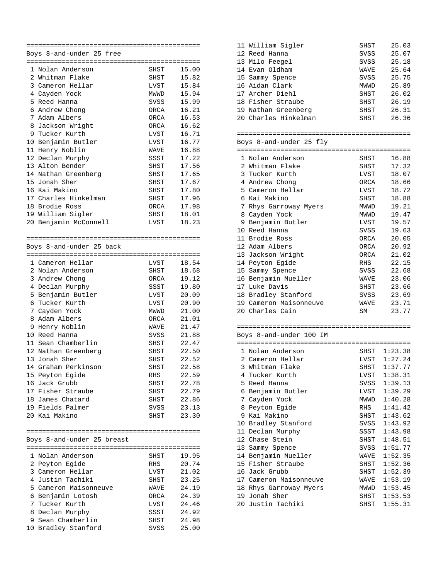|   | Boys 8-and-under 25 free   |             |       |  |  |
|---|----------------------------|-------------|-------|--|--|
|   |                            |             |       |  |  |
|   | 1 Nolan Anderson           | SHST        | 15.00 |  |  |
|   | 2 Whitman Flake            | SHST        | 15.82 |  |  |
| 3 | Cameron Hellar             | LVST        | 15.84 |  |  |
|   | 4 Cayden Yock              | MWWD        | 15.94 |  |  |
|   | 5 Reed Hanna               | SVSS        | 15.99 |  |  |
|   | 6 Andrew Chong             | ORCA        | 16.21 |  |  |
|   | 7 Adam Albers              | ORCA        | 16.53 |  |  |
|   | 8 Jackson Wright           | ORCA        | 16.62 |  |  |
|   | 9 Tucker Kurth             | LVST        | 16.71 |  |  |
|   | 10 Benjamin Butler         | LVST        | 16.77 |  |  |
|   | 11 Henry Noblin            | <b>WAVE</b> | 16.88 |  |  |
|   | 12 Declan Murphy           | SSST        | 17.22 |  |  |
|   | 13 Alton Bender            | SHST        | 17.56 |  |  |
|   | 14 Nathan Greenberg        | SHST        | 17.65 |  |  |
|   | 15 Jonah Sher              | SHST        | 17.67 |  |  |
|   | 16 Kai Makino              | SHST        | 17.80 |  |  |
|   | 17 Charles Hinkelman       | SHST        | 17.96 |  |  |
|   | 18 Brodie Ross             | ORCA        | 17.98 |  |  |
|   | 19 William Sigler          | <b>SHST</b> | 18.01 |  |  |
|   | 20 Benjamin McConnell      | LVST        | 18.23 |  |  |
|   |                            |             |       |  |  |
|   |                            |             |       |  |  |
|   | Boys 8-and-under 25 back   |             |       |  |  |
|   |                            |             |       |  |  |
|   | 1 Cameron Hellar           | LVST        | 18.54 |  |  |
|   | 2 Nolan Anderson           | SHST        | 18.68 |  |  |
|   | 3 Andrew Chong             | ORCA        | 19.12 |  |  |
|   | 4 Declan Murphy            | SSST        | 19.80 |  |  |
|   | 5 Benjamin Butler          | LVST        | 20.09 |  |  |
|   | 6 Tucker Kurth             | LVST        | 20.90 |  |  |
|   | 7 Cayden Yock              | MWWD        | 21.00 |  |  |
| 8 | Adam Albers                | ORCA        | 21.01 |  |  |
| 9 | Henry Noblin               | <b>WAVE</b> | 21.47 |  |  |
|   | 10 Reed Hanna              | SVSS        | 21.88 |  |  |
|   | 11 Sean Chamberlin         | SHST        | 22.47 |  |  |
|   | 12 Nathan Greenberg        | SHST        | 22.50 |  |  |
|   | 13 Jonah Sher              | SHST        | 22.52 |  |  |
|   | 14 Graham Perkinson        | SHST        | 22.58 |  |  |
|   | 15 Peyton Egide            | RHS         | 22.59 |  |  |
|   | 16 Jack Grubb              | SHST        | 22.78 |  |  |
|   | 17 Fisher Straube          | SHST        | 22.79 |  |  |
|   | 18 James Chatard           | SHST        | 22.86 |  |  |
|   | 19 Fields Palmer           | SVSS        | 23.13 |  |  |
|   | 20 Kai Makino              | SHST        | 23.30 |  |  |
|   |                            |             |       |  |  |
|   |                            |             |       |  |  |
|   | Boys 8-and-under 25 breast |             |       |  |  |
|   |                            |             |       |  |  |
|   | 1 Nolan Anderson           | SHST        | 19.95 |  |  |
|   | 2 Peyton Egide             | RHS         | 20.74 |  |  |
|   | 3 Cameron Hellar           | LVST        | 21.02 |  |  |
|   | 4 Justin Tachiki           | SHST        | 23.25 |  |  |
|   | 5 Cameron Maisonneuve      | WAVE        | 24.19 |  |  |
|   | 6 Benjamin Lotosh          | ORCA        | 24.39 |  |  |
|   | 7 Tucker Kurth             | LVST        | 24.46 |  |  |
|   | 8 Declan Murphy            | SSST        | 24.92 |  |  |
|   | 9 Sean Chamberlin          | SHST        | 24.98 |  |  |
|   | 10 Bradley Stanford        | SVSS        | 25.00 |  |  |
|   |                            |             |       |  |  |

| 11 William Sigler    | <b>SHST</b> | 25.03 |
|----------------------|-------------|-------|
| 12 Reed Hanna        | SVSS        | 25.07 |
| 13 Milo Feegel       | SVSS        | 25.18 |
| 14 Evan Oldham       | <b>WAVE</b> | 25.64 |
| 15 Sammy Spence      | SVSS        | 25.75 |
| 16 Aidan Clark       | MWWD        | 25.89 |
| 17 Archer Diehl      | SHST        | 26.02 |
| 18 Fisher Straube    | <b>SHST</b> | 26.19 |
| 19 Nathan Greenberg  | SHST        | 26.31 |
| 20 Charles Hinkelman | SHST        | 26.36 |
|                      |             |       |

- ============================================
- Boys 8-and-under 25 fly ============================================ 1 Nolan Anderson SHST 16.88 2 Whitman Flake SHST 17.32 3 Tucker Kurth LVST 18.07 4 Andrew Chong ORCA 18.66 5 Cameron Hellar LVST 18.72 6 Kai Makino SHST 18.88 7 Rhys Garroway Myers MWWD 19.21 8 Cayden Yock MWWD 19.47 9 Benjamin Butler LVST 19.57 10 Reed Hanna SVSS 19.63 11 Brodie Ross ORCA 20.05 12 Adam Albers ORCA 20.92 13 Jackson Wright ORCA 21.02 14 Peyton Egide RHS 22.15 15 Sammy Spence SVSS 22.68 16 Benjamin Mueller MAVE 23.06<br>17 Luke Davis SHST 23.66 17 Luke Davis 18 Bradley Stanford SVSS 23.69<br>19 Cameron Maisonneuve MAVE 23.71 19 Cameron Maisonneuve MAVE 23.71<br>20 Charles Cain MAVE 23.77 20 Charles Cain

| Boys 8-and-under 100 IM |                            |      |              |  |
|-------------------------|----------------------------|------|--------------|--|
|                         | ========================== |      |              |  |
|                         | 1 Nolan Anderson           | SHST | 1:23.38      |  |
|                         | 2 Cameron Hellar           | LVST | 1:27.24      |  |
|                         | 3 Whitman Flake            | SHST | 1:37.77      |  |
| 4                       | Tucker Kurth               |      | LVST 1:38.31 |  |
|                         | 5 Reed Hanna               | SVSS | 1:39.13      |  |
| 6                       | Benjamin Butler            | LVST | 1:39.29      |  |
|                         | 7 Cayden Yock              |      | MWWD 1:40.28 |  |
| 8                       | Peyton Eqide               | RHS  | 1:41.42      |  |
| 9                       | Kai Makino                 | SHST | 1:43.62      |  |
| 10                      | Bradley Stanford           |      | SVSS 1:43.92 |  |
| 11                      | Declan Murphy              |      | SSST 1:43.98 |  |
|                         | 12 Chase Stein             | SHST | 1:48.51      |  |
|                         | 13 Sammy Spence            | SVSS | 1:51.77      |  |
|                         | 14 Benjamin Mueller        | WAVE | 1:52.35      |  |
|                         | 15 Fisher Straube          | SHST | 1:52.36      |  |
| 16                      | Jack Grubb                 | SHST | 1:52.39      |  |
| 17                      | Cameron Maisonneuve        | WAVE | 1:53.19      |  |
|                         | 18 Rhys Garroway Myers     | MWWD | 1:53.45      |  |
| 19                      | Jonah Sher                 | SHST | 1:53.53      |  |
|                         | 20 Justin Tachiki          | SHST | 1:55.31      |  |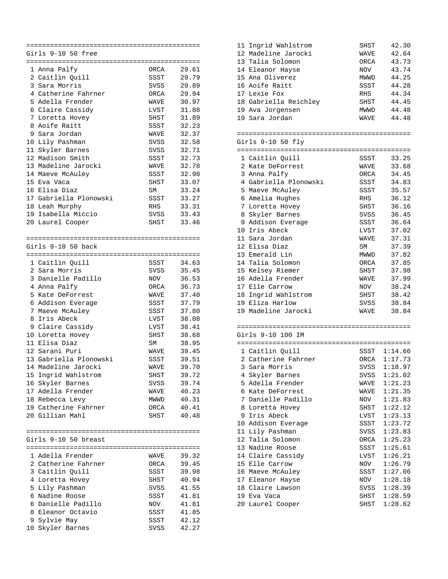|   | Girls 9-10 50 free                   |                     |                |  |
|---|--------------------------------------|---------------------|----------------|--|
|   |                                      |                     |                |  |
|   | 1 Anna Palfy                         | <b>ORCA</b>         | 29.61          |  |
|   | 2 Caitlin Quill                      | SSST                | 29.79          |  |
| 3 | Sara Morris                          | SVSS                | 29.89          |  |
|   | 4 Catherine Fahrner                  | ORCA                | 29.94          |  |
|   | 5 Adella Frender                     | WAVE                | 30.97          |  |
|   | 6 Claire Cassidy                     | LVST                | 31.88          |  |
|   | 7 Loretta Hovey<br>8 Aoife Raitt     | SHST                | 31.89<br>32.23 |  |
| 9 | Sara Jordan                          | SSST<br><b>WAVE</b> |                |  |
|   | 10 Lily Pashman                      | SVSS                | 32.37<br>32.58 |  |
|   | 11 Skyler Barnes                     | SVSS                | 32.71          |  |
|   | 12 Madison Smith                     | SSST                | 32.73          |  |
|   | 13 Madeline Jarocki                  | WAVE                | 32.78          |  |
|   | 14 Maeve McAuley                     | SSST                | 32.98          |  |
|   | 15 Eva Vaca                          | SHST                | 33.07          |  |
|   | 16 Elisa Diaz                        | SM                  | 33.24          |  |
|   | 17 Gabriella Plonowski               | SSST                | 33.27          |  |
|   | 18 Leah Murphy                       | RHS                 | 33.31          |  |
|   | 19 Isabella Miccio                   | SVSS                | 33.43          |  |
|   | 20 Laurel Cooper                     | SHST                | 33.46          |  |
|   |                                      |                     |                |  |
|   |                                      |                     |                |  |
|   | Girls 9-10 50 back                   |                     |                |  |
|   |                                      |                     |                |  |
|   | 1 Caitlin Quill                      | SSST                | 34.63          |  |
|   | 2 Sara Morris                        | <b>SVSS</b>         | 35.45          |  |
|   | 3 Danielle Padillo                   | NOV                 | 36.53          |  |
|   | 4 Anna Palfy<br>5 Kate DeForrest     | ORCA                | 36.73          |  |
|   |                                      | WAVE                | 37.40          |  |
|   | 6 Addison Everage<br>7 Maeve McAuley | SSST<br>SSST        | 37.79<br>37.80 |  |
| 8 | Iris Abeck                           | LVST                | 38.08          |  |
|   | 9 Claire Cassidy                     | LVST                | 38.41          |  |
|   | 10 Loretta Hovey                     | SHST                | 38.68          |  |
|   | 11 Elisa Diaz                        | SΜ                  | 38.95          |  |
|   | 12 Sarani Puri                       | WAVE                | 39.45          |  |
|   | 13 Gabriella Plonowski               | SSST                | 39.51          |  |
|   | 14 Madeline Jarocki                  | <b>WAVE</b>         | 39.70          |  |
|   | 15 Ingrid Wahlstrom                  | SHST                | 39.72          |  |
|   | 16 Skyler Barnes                     | SVSS                | 39.74          |  |
|   | 17 Adella Frender                    | WAVE                | 40.23          |  |
|   | 18 Rebecca Levy                      | MWWD                | 40.31          |  |
|   | 19 Catherine Fahrner                 | ORCA                | 40.41          |  |
|   | 20 Gillian Mahl                      | SHST                | 40.48          |  |
|   |                                      |                     |                |  |
|   |                                      |                     |                |  |
|   | Girls 9-10 50 breast                 |                     |                |  |
|   | 1 Adella Frender                     | WAVE                | 39.32          |  |
|   | 2 Catherine Fahrner                  | ORCA                | 39.45          |  |
|   | 3 Caitlin Quill                      | SSST                | 39.98          |  |
|   | 4 Loretta Hovey                      | SHST                | 40.94          |  |
|   | 5 Lily Pashman                       | SVSS                | 41.55          |  |
|   | 6 Nadine Roose                       | SSST                | 41.81          |  |
|   | 6 Danielle Padillo                   | NOV                 | 41.81          |  |
|   | 8 Eleanor Octavio                    | SSST                | 41.85          |  |
|   | 9 Sylvie May                         | SSST                | 42.12          |  |
|   | 10 Skyler Barnes                     | SVSS                | 42.27          |  |

| 11 Ingrid Wahlstrom   | SHST        | 42.30 |
|-----------------------|-------------|-------|
| 12 Madeline Jarocki   | WAVE        | 42.64 |
| 13 Talia Solomon      | ORCA        | 43.73 |
| 14 Eleanor Hayse      | NOV         | 43.74 |
| 15 Ana Oliverez       | MWWD        | 44.25 |
| 16 Aoife Raitt        | SSST        | 44.28 |
| 17 Lexie Fox          | RHS         | 44.34 |
| 18 Gabriella Reichley | <b>SHST</b> | 44.45 |
| 19 Ava Jorgensen      | MWWD        | 44.48 |
| 19 Sara Jordan        | WAVE        | 44.48 |
|                       |             |       |

============================================ Girls 9-10 50 fly

|    | ============================ | ============= |       |
|----|------------------------------|---------------|-------|
|    | 1 Caitlin Quill              | SSST          | 33.25 |
| 2  | Kate DeForrest               | WAVE          | 33.68 |
| 3  | Anna Palfy                   | ORCA          | 34.45 |
| 4  | Gabriella Plonowski          | SSST          | 34.83 |
| 5  | Maeve McAuley                | SSST          | 35.57 |
| 6  | Amelia Hughes                | RHS           | 36.12 |
| 7  | Loretta Hovey                | SHST          | 36.16 |
| 8. | Skyler Barnes                | SVSS          | 36.45 |
| 9  | Addison Everage              | SSST          | 36.64 |
| 10 | Iris Abeck                   | LVST          | 37.02 |
| 11 | Sara Jordan                  | WAVE          | 37.31 |
|    | 12 Elisa Diaz                | <b>SM</b>     | 37.39 |
| 13 | Emerald Lin                  | MWWD          | 37.82 |
|    | 14 Talia Solomon             | ORCA          | 37.85 |
|    | 15 Kelsey Riemer             | SHST          | 37.98 |
| 16 | Adella Frender               | WAVE          | 37.99 |
| 17 | Elle Carrow                  | NOV           | 38.24 |
| 18 | Ingrid Wahlstrom             | SHST          | 38.42 |
| 19 | Eliza Harlow                 | SVSS          | 38.84 |
|    | 19 Madeline Jarocki          | WAVE          | 38.84 |
|    |                              |               |       |

============================================ Girls 9-10 100 IM

|    | 1 Caitlin Quill    | SSST | 1:14.66 |
|----|--------------------|------|---------|
| 2. | Catherine Fahrner  | ORCA | 1:17.73 |
|    | 3 Sara Morris      | SVSS | 1:18.97 |
| 4  | Skyler Barnes      | SVSS | 1:21.02 |
| 5. | Adella Frender     | WAVE | 1:21.23 |
| 6  | Kate DeForrest     | WAVE | 1:21.35 |
|    | 7 Danielle Padillo | NOV  | 1:21.83 |
|    | 8 Loretta Hovey    | SHST | 1:22.12 |
| 9  | Iris Abeck         | LVST | 1:23.13 |
| 10 | Addison Everage    | SSST | 1:23.72 |
| 11 | Lily Pashman       | SVSS | 1:23.83 |
|    | 12 Talia Solomon   | ORCA | 1:25.23 |
| 13 | Nadine Roose       | SSST | 1:25.61 |
|    | 14 Claire Cassidy  | LVST | 1:26.21 |
|    | 15 Elle Carrow     | NOV  | 1:26.79 |
| 16 | Maeve McAuley      | SSST | 1:27.06 |
|    | 17 Eleanor Hayse   | NOV  | 1:28.18 |
|    | 18 Claire Lawson   | SVSS | 1:28.39 |
| 19 | Eva Vaca           | SHST | 1:28.59 |
|    | 20 Laurel Cooper   | SHST | 1:28.62 |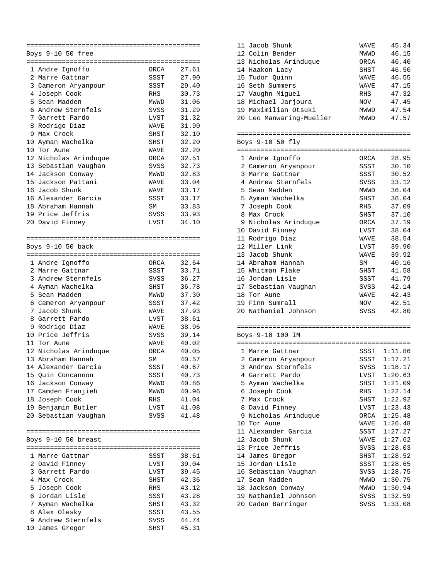|    | Boys 9-10 50 free     |             |       |
|----|-----------------------|-------------|-------|
|    |                       |             |       |
|    | 1 Andre Ignoffo       | ORCA        | 27.61 |
|    | 2 Marre Gattnar       | SSST        | 27.90 |
|    | 3 Cameron Aryanpour   | SSST        | 29.40 |
|    | 4 Joseph Cook         | RHS         | 30.73 |
| 5. | Sean Madden           | MWWD        | 31.06 |
|    | 6 Andrew Sternfels    | SVSS        | 31.29 |
|    | 7 Garrett Pardo       | LVST        | 31.32 |
|    | 8 Rodrigo Diaz        | <b>WAVE</b> | 31.90 |
| 9  | Max Crock             | SHST        | 32.10 |
| 10 | Ayman Wachelka        | SHST        | 32.20 |
|    | 10 Tor Aune           | WAVE        | 32.20 |
|    | 12 Nicholas Arinduque | ORCA        | 32.51 |
|    | 13 Sebastian Vaughan  | SVSS        | 32.73 |
|    | 14 Jackson Conway     | MWWD        | 32.83 |
|    | 15 Jackson Pattani    | WAVE        | 33.04 |
|    | 16 Jacob Shunk        | WAVE        | 33.17 |
|    | 16 Alexander Garcia   | SSST        | 33.17 |
|    | 18 Abraham Hannah     | SΜ          | 33.83 |
|    | 19 Price Jeffris      | SVSS        | 33.93 |
|    | 20 David Finney       | LVST        | 34.10 |
|    |                       |             |       |
|    | Boys 9-10 50 back     |             |       |
|    |                       |             |       |
|    | 1 Andre Ignoffo       | ORCA        | 32.64 |
|    | 2 Marre Gattnar       | SSST        | 33.71 |
|    | 3 Andrew Sternfels    | SVSS        | 36.27 |
|    | 4 Ayman Wachelka      | SHST        | 36.78 |
|    | 5 Sean Madden         | MWWD        | 37.30 |
|    | 6 Cameron Aryanpour   | SSST        | 37.42 |
|    | 7 Jacob Shunk         | WAVE        | 37.93 |
|    | 8 Garrett Pardo       | LVST        | 38.61 |
|    | 9 Rodrigo Diaz        | WAVE        | 38.96 |
|    | 10 Price Jeffris      | SVSS        | 39.14 |
|    | 11 Tor Aune           | WAVE        | 40.02 |
|    | 12 Nicholas Arinduque | ORCA        | 40.05 |
|    | 13 Abraham Hannah     | ${\sf SM}$  | 40.57 |
|    | 14 Alexander Garcia   | SSST        | 40.67 |
|    | 15 Quin Concannon     | SSST        | 40.73 |
|    | 16 Jackson Conway     | MWWD        | 40.86 |
|    | 17 Camden Franjieh    | MWWD        | 40.96 |
|    | 18 Joseph Cook        | RHS         | 41.04 |
|    | 19 Benjamin Butler    | LVST        | 41.08 |
|    | 20 Sebastian Vaughan  | SVSS        | 41.48 |
|    |                       |             |       |
|    |                       |             |       |
|    | Boys 9-10 50 breast   |             |       |
|    | 1 Marre Gattnar       | SSST        | 38.61 |
|    | 2 David Finney        | LVST        | 39.04 |
|    | 3 Garrett Pardo       | LVST        | 39.45 |
|    | 4 Max Crock           | SHST        | 42.36 |
|    | 5 Joseph Cook         | RHS         | 43.12 |
|    | 6 Jordan Lisle        | SSST        | 43.28 |
|    | 7 Ayman Wachelka      | SHST        | 43.32 |
|    | 8 Alex Olesky         | SSST        | 43.55 |
|    | 9 Andrew Sternfels    | SVSS        | 44.74 |
|    | 10 James Gregor       | SHST        | 45.31 |
|    |                       |             |       |

| 11 Jacob Shunk           | <b>WAVE</b> | 45.34 |
|--------------------------|-------------|-------|
| 12 Colin Bender          | <b>MWWD</b> | 46.15 |
| 13 Nicholas Arinduque    | <b>ORCA</b> | 46.40 |
| 14 Haakon Lacy           | <b>SHST</b> | 46.50 |
| 15 Tudor Ouinn           | <b>WAVE</b> | 46.55 |
| 16 Seth Summers          | <b>WAVE</b> | 47.15 |
| 17 Vaughn Miquel         | <b>RHS</b>  | 47.32 |
| 18 Michael Jarjoura      | <b>NOV</b>  | 47.45 |
| 19 Maximilian Otsuki     | <b>MWWD</b> | 47.54 |
| 20 Leo Manwaring-Mueller | <b>MWWD</b> | 47.57 |
|                          |             |       |

============================================ Boys 9-10 50 fly

| 50,000 LLX |                      |           |       |
|------------|----------------------|-----------|-------|
|            |                      |           |       |
| 1          | Andre Ignoffo        | ORCA      | 28.95 |
|            | 2 Cameron Aryanpour  | SSST      | 30.10 |
| 3          | Marre Gattnar        | SSST      | 30.52 |
| 4          | Andrew Sternfels     | SVSS      | 33.12 |
|            | 5 Sean Madden        | MWWD      | 36.04 |
| 5.         | Ayman Wachelka       | SHST      | 36.04 |
| 7          | Joseph Cook          | RHS       | 37.09 |
| 8          | Max Crock            | SHST      | 37.10 |
|            | 9 Nicholas Arinduque | ORCA      | 37.19 |
| 10         | David Finney         | LVST      | 38.04 |
|            | 11 Rodrigo Diaz      | WAVE      | 38.54 |
|            | 12 Miller Link       | LVST      | 39.90 |
|            | 13 Jacob Shunk       | WAVE      | 39.92 |
| 14         | Abraham Hannah       | <b>SM</b> | 40.16 |
|            | 15 Whitman Flake     | SHST      | 41.58 |
|            | 16 Jordan Lisle      | SSST      | 41.79 |
|            | 17 Sebastian Vaughan | SVSS      | 42.14 |
|            | 18 Tor Aune          | WAVE      | 42.43 |
|            | 19 Finn Sumrall      | NOV       | 42.51 |
|            | 20 Nathaniel Johnson | SVSS      | 42.80 |
|            |                      |           |       |

============================================ Boys 9-10 100 IM

|    | 1 Marre Gattnar     | SSST | 1:11.86 |
|----|---------------------|------|---------|
|    | 2 Cameron Aryanpour | SSST | 1:17.21 |
| 3  | Andrew Sternfels    | SVSS | 1:18.17 |
| 4  | Garrett Pardo       | LVST | 1:20.63 |
|    | 5 Ayman Wachelka    | SHST | 1:21.09 |
|    | 6 Joseph Cook       | RHS  | 1:22.14 |
| 7  | Max Crock           | SHST | 1:22.92 |
|    | 8 David Finney      | LVST | 1:23.43 |
| 9  | Nicholas Arinduque  | ORCA | 1:25.48 |
| 10 | Tor Aune            | WAVE | 1:26.48 |
| 11 | Alexander Garcia    | SSST | 1:27.27 |
|    | 12 Jacob Shunk      | WAVE | 1:27.62 |
|    | 13 Price Jeffris    | SVSS | 1:28.03 |
|    | 14 James Gregor     | SHST | 1:28.52 |
|    | 15 Jordan Lisle     | SSST | 1:28.65 |
| 16 | Sebastian Vaughan   | SVSS | 1:28.75 |
| 17 | Sean Madden         | MWWD | 1:30.75 |
|    | 18 Jackson Conway   | MWWD | 1:30.94 |
| 19 | Nathaniel Johnson   | SVSS | 1:32.59 |
|    | 20 Caden Barringer  | SVSS | 1:33.08 |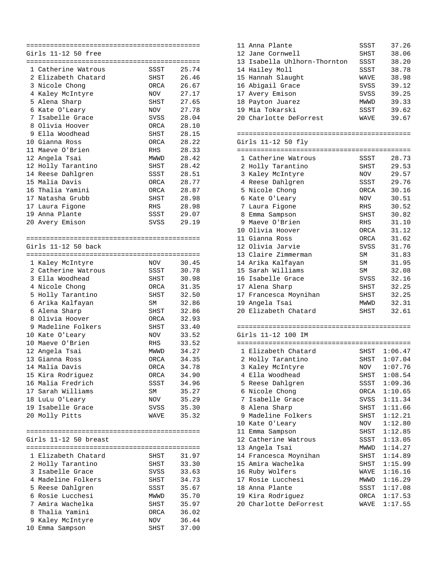|    | Girls 11-12 50 free   |              |       |  |
|----|-----------------------|--------------|-------|--|
|    |                       |              |       |  |
|    | 1 Catherine Watrous   | SSST         | 25.74 |  |
| 2  | Elizabeth Chatard     | SHST         | 26.46 |  |
|    | 3 Nicole Chong        | ORCA         | 26.67 |  |
|    | 4 Kaley McIntyre      | <b>NOV</b>   | 27.17 |  |
| 5  | Alena Sharp           | SHST         | 27.65 |  |
| 6  | Kate O'Leary          | NOV          | 27.78 |  |
| 7  | Isabelle Grace        | SVSS         | 28.04 |  |
| 8  | Olivia Hoover         | ORCA         | 28.10 |  |
| 9  | Ella Woodhead         | SHST         | 28.15 |  |
| 10 | Gianna Ross           | ORCA         | 28.22 |  |
|    | 11 Maeve O'Brien      | <b>RHS</b>   | 28.33 |  |
|    |                       |              |       |  |
| 12 | Angela Tsai           | MWWD         | 28.42 |  |
|    | 12 Holly Tarantino    | SHST         | 28.42 |  |
|    | 14 Reese Dahlgren     | SSST         | 28.51 |  |
|    | 15 Malia Davis        | ORCA         | 28.77 |  |
|    | 16 Thalia Yamini      | ORCA         | 28.87 |  |
|    | 17 Natasha Grubb      | SHST         | 28.98 |  |
|    | 17 Laura Figone       | RHS          | 28.98 |  |
|    | 19 Anna Plante        | SSST         | 29.07 |  |
|    | 20 Avery Emison       | SVSS         | 29.19 |  |
|    |                       |              |       |  |
|    |                       |              |       |  |
|    | Girls 11-12 50 back   |              |       |  |
|    |                       |              |       |  |
|    | 1 Kaley McIntyre      | NOV          | 30.45 |  |
|    | 2 Catherine Watrous   | SSST         | 30.78 |  |
|    | 3 Ella Woodhead       | SHST         | 30.98 |  |
|    | 4 Nicole Chong        | ORCA         | 31.35 |  |
| 5  | Holly Tarantino       | SHST         | 32.50 |  |
| 6  | Arika Kalfayan        | SM           | 32.86 |  |
| 6  | Alena Sharp           | SHST         | 32.86 |  |
| 8  | Olivia Hoover         | ORCA         | 32.93 |  |
| 9  | Madeline Folkers      | SHST         | 33.40 |  |
| 10 | Kate O'Leary          | NOV          | 33.52 |  |
| 10 | Maeve O'Brien         | RHS          | 33.52 |  |
|    |                       | MWWD         | 34.27 |  |
|    | 12 Angela Tsai        |              | 34.35 |  |
|    | 13 Gianna Ross        | ORCA<br>ORCA |       |  |
|    | 14 Malia Davis        |              | 34.78 |  |
|    | 15 Kira Rodriguez     | ORCA         | 34.90 |  |
|    | 16 Malia Fredrich     | SSST         | 34.96 |  |
|    | 17 Sarah Williams     | SΜ           | 35.27 |  |
|    | 18 LuLu O'Leary       | NOV          | 35.29 |  |
|    | 19 Isabelle Grace     | SVSS         | 35.30 |  |
|    | 20 Molly Pitts        | WAVE         | 35.32 |  |
|    |                       |              |       |  |
|    |                       |              |       |  |
|    | Girls 11-12 50 breast |              |       |  |
|    |                       |              |       |  |
|    | 1 Elizabeth Chatard   | SHST         | 31.97 |  |
|    | 2 Holly Tarantino     | SHST         | 33.30 |  |
|    | 3 Isabelle Grace      | SVSS         | 33.63 |  |
|    | 4 Madeline Folkers    | SHST         | 34.73 |  |
|    | 5 Reese Dahlgren      | SSST         | 35.67 |  |
| 6  | Rosie Lucchesi        | MWWD         | 35.70 |  |
|    | 7 Amira Wachelka      | SHST         | 35.97 |  |
|    | 8 Thalia Yamini       | ORCA         | 36.02 |  |
|    | 9 Kaley McIntyre      | NOV          | 36.44 |  |
|    | 10 Emma Sampson       | SHST         | 37.00 |  |
|    |                       |              |       |  |

|  | 11 Anna Plante               | SSST | 37.26 |
|--|------------------------------|------|-------|
|  | 12 Jane Cornwell             | SHST | 38.06 |
|  | 13 Isabella Uhlhorn-Thornton | SSST | 38.20 |
|  | 14 Hailey Moll               | SSST | 38.78 |
|  | 15 Hannah Slaught            | WAVE | 38.98 |
|  | 16 Abigail Grace             | SVSS | 39.12 |
|  | 17 Avery Emison              | SVSS | 39.25 |
|  | 18 Payton Juarez             | MWWD | 39.33 |
|  | 19 Mia Tokarski              | SSST | 39.62 |
|  | 20 Charlotte DeForrest       | WAVE | 39.67 |
|  |                              |      |       |
|  |                              |      |       |
|  | Girls 11-12 50 fly           |      |       |

|    | ========================== | ============= |       |
|----|----------------------------|---------------|-------|
|    | 1 Catherine Watrous        | SSST          | 28.73 |
| 2  | Holly Tarantino            | SHST          | 29.53 |
| 3  | Kaley McIntyre             | NOV           | 29.57 |
| 4  | Reese Dahlgren             | SSST          | 29.76 |
|    | 5 Nicole Chong             | ORCA          | 30.16 |
| 6  | Kate O'Leary               | NOV           | 30.51 |
| 7  | Laura Figone               | RHS           | 30.52 |
| 8  | Emma Sampson               | SHST          | 30.82 |
| 9  | Maeve O'Brien              | <b>RHS</b>    | 31.10 |
| 10 | Olivia Hoover              | ORCA          | 31.12 |
|    | 11 Gianna Ross             | ORCA          | 31.62 |
|    | 12 Olivia Jarvie           | SVSS          | 31.76 |
|    | 13 Claire Zimmerman        | SM            | 31.83 |
|    | 14 Arika Kalfayan          | SM            | 31.95 |
|    | 15 Sarah Williams          | SM            | 32.08 |
| 16 | Isabelle Grace             | SVSS          | 32.16 |
| 17 | Alena Sharp                | SHST          | 32.25 |
|    | 17 Francesca Moynihan      | SHST          | 32.25 |
| 19 | Angela Tsai                | MWWD          | 32.31 |
|    | 20 Elizabeth Chatard       | SHST          | 32.61 |

|                    | --------------------------<br>--------------------------------- |
|--------------------|-----------------------------------------------------------------|
| Girls 11-12 100 IM |                                                                 |

|    | ---                    | ===  | =========== |
|----|------------------------|------|-------------|
|    | 1 Elizabeth Chatard    | SHST | 1:06.47     |
| 2  | Holly Tarantino        | SHST | 1:07.04     |
|    | 3 Kaley McIntyre       | NOV  | 1:07.76     |
| 4  | Ella Woodhead          | SHST | 1:08.54     |
|    | 5 Reese Dahlgren       | SSST | 1:09.36     |
| 6  | Nicole Chong           | ORCA | 1:10.65     |
|    | 7 Isabelle Grace       | SVSS | 1:11.34     |
| 8  | Alena Sharp            | SHST | 1:11.66     |
| 9  | Madeline Folkers       | SHST | 1:12.21     |
| 10 | Kate O'Leary           | NOV  | 1:12.80     |
| 11 | Emma Sampson           | SHST | 1:12.85     |
|    | 12 Catherine Watrous   | SSST | 1:13.05     |
| 13 | Angela Tsai            | MWWD | 1:14.27     |
|    | 14 Francesca Moynihan  | SHST | 1:14.89     |
| 15 | Amira Wachelka         | SHST | 1:15.99     |
| 16 | Ruby Wolfers           | WAVE | 1:16.16     |
| 17 | Rosie Lucchesi         | MWWD | 1:16.29     |
| 18 | Anna Plante            | SSST | 1:17.08     |
|    | 19 Kira Rodriguez      | ORCA | 1:17.53     |
|    | 20 Charlotte DeForrest | WAVE | 1:17.55     |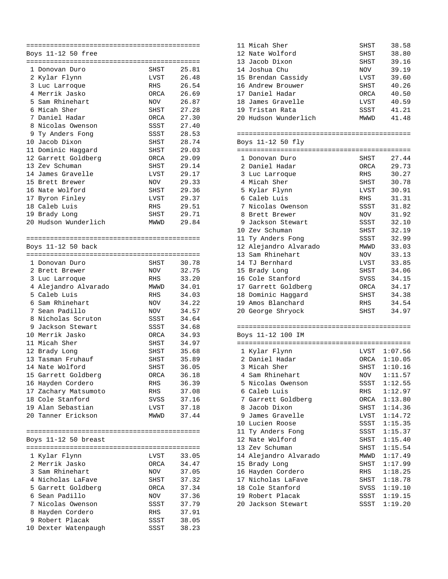|   | Boys 11-12 50 free   |      |       |
|---|----------------------|------|-------|
|   |                      |      |       |
|   | 1 Donovan Duro       | SHST | 25.81 |
|   | 2 Kylar Flynn        | LVST | 26.48 |
|   | 3 Luc Larroque       | RHS  | 26.54 |
|   | 4 Merrik Jasko       | ORCA | 26.69 |
|   | 5 Sam Rhinehart      | NOV  | 26.87 |
|   | 6 Micah Sher         | SHST | 27.28 |
|   | 7 Daniel Hadar       | ORCA | 27.30 |
|   | 8 Nicolas Owenson    | SSST | 27.40 |
|   | 9 Ty Anders Fong     | SSST | 28.53 |
|   | 10 Jacob Dixon       | SHST | 28.74 |
|   | 11 Dominic Haggard   | SHST | 29.03 |
|   | 12 Garrett Goldberg  | ORCA | 29.09 |
|   | 13 Zev Schuman       | SHST | 29.14 |
|   | 14 James Gravelle    | LVST | 29.17 |
|   | 15 Brett Brewer      | NOV  | 29.33 |
|   | 16 Nate Wolford      | SHST | 29.36 |
|   | 17 Byron Finley      | LVST | 29.37 |
|   | 18 Caleb Luis        | RHS  | 29.51 |
|   | 19 Brady Long        | SHST | 29.71 |
|   | 20 Hudson Wunderlich | MWWD | 29.84 |
|   |                      |      |       |
|   | Boys 11-12 50 back   |      |       |
|   |                      |      |       |
|   | 1 Donovan Duro       | SHST | 30.78 |
|   | 2 Brett Brewer       | NOV  | 32.75 |
|   | 3 Luc Larroque       | RHS  | 33.20 |
|   | 4 Alejandro Alvarado | MWWD | 34.01 |
|   | 5 Caleb Luis         | RHS  | 34.03 |
|   | 6 Sam Rhinehart      | NOV  | 34.22 |
| 7 | Sean Padillo         | NOV  | 34.57 |
|   | 8 Nicholas Scruton   | SSST | 34.64 |
|   | 9 Jackson Stewart    | SSST | 34.68 |
|   | 10 Merrik Jasko      | ORCA | 34.93 |
|   | 11 Micah Sher        | SHST | 34.97 |
|   | 12 Brady Long        | SHST | 35.68 |
|   | 13 Tasman Fruhauf    | SHST | 35.89 |
|   | 14 Nate Wolford      | SHST | 36.05 |
|   | 15 Garrett Goldberg  | ORCA | 36.18 |
|   | 16 Hayden Cordero    | RHS  | 36.39 |
|   | 17 Zachary Matsumoto | RHS  | 37.08 |
|   | 18 Cole Stanford     | SVSS | 37.16 |
|   | 19 Alan Sebastian    | LVST | 37.18 |
|   | 20 Tanner Erickson   | MWWD | 37.44 |
|   |                      |      |       |
|   | Boys 11-12 50 breast |      |       |
|   |                      |      |       |
|   | 1 Kylar Flynn        | LVST | 33.05 |
|   | 2 Merrik Jasko       | ORCA | 34.47 |
|   | 3 Sam Rhinehart      | NOV  | 37.05 |
|   | 4 Nicholas LaFave    | SHST | 37.32 |
|   | 5 Garrett Goldberg   | ORCA | 37.34 |
|   | 6 Sean Padillo       | NOV  | 37.36 |
|   | 7 Nicolas Owenson    | SSST | 37.79 |
|   | 8 Hayden Cordero     | RHS  | 37.91 |
|   | 9 Robert Placak      | SSST | 38.05 |
|   | 10 Dexter Watenpaugh | SSST | 38.23 |

| 11 Micah Sher        | SHST | 38.58 |
|----------------------|------|-------|
| 12 Nate Wolford      | SHST | 38.80 |
| 13 Jacob Dixon       | SHST | 39.16 |
| 14 Joshua Chu        | NOV  | 39.19 |
| 15 Brendan Cassidy   | LVST | 39.60 |
| 16 Andrew Brouwer    | SHST | 40.26 |
| 17 Daniel Hadar      | ORCA | 40.50 |
| 18 James Gravelle    | LVST | 40.59 |
| 19 Tristan Rata      | SSST | 41.21 |
| 20 Hudson Wunderlich | MWWD | 41.48 |
|                      |      |       |

============================================ Boys 11-12 50 fly

|    | ROAR TT-TR SA TIA     |        |       |  |
|----|-----------------------|--------|-------|--|
|    |                       |        |       |  |
|    | 1 Donovan Duro        | SHST   | 27.44 |  |
|    | 2 Daniel Hadar        | ORCA   | 29.73 |  |
|    | 3 Luc Larroque        | RHS    | 30.27 |  |
| 4  | Micah Sher            | SHST   | 30.78 |  |
|    | 5 Kylar Flynn         | LVST   | 30.91 |  |
|    | 6 Caleb Luis          | RHS    | 31.31 |  |
| 7  | Nicolas Owenson       | SSST   | 31.82 |  |
| 8  | Brett Brewer          | NOV NO | 31.92 |  |
| 9  | Jackson Stewart       | SSST   | 32.10 |  |
|    | 10 Zev Schuman        | SHST   | 32.19 |  |
|    | 11 Ty Anders Fong     | SSST   | 32.99 |  |
|    | 12 Alejandro Alvarado | MWWD   | 33.03 |  |
|    | 13 Sam Rhinehart      | NOV    | 33.13 |  |
|    | 14 TJ Bernhard        | LVST   | 33.85 |  |
|    | 15 Brady Long         | SHST   | 34.06 |  |
|    | 16 Cole Stanford      | SVSS   | 34.15 |  |
|    | 17 Garrett Goldberg   | ORCA   | 34.17 |  |
|    | 18 Dominic Haqqard    | SHST   | 34.38 |  |
| 19 | Amos Blanchard        | RHS    | 34.54 |  |
|    | 20 George Shryock     | SHST   | 34.97 |  |

|             | --------------------------------- |  |
|-------------|-----------------------------------|--|
| 11-12 100 1 |                                   |  |

|     | 1 Kylar Flynn         | LVST | 1:07.56 |
|-----|-----------------------|------|---------|
|     | 2 Daniel Hadar        | ORCA | 1:10.05 |
|     | 3 Micah Sher          | SHST | 1:10.16 |
|     | 4 Sam Rhinehart       | NOV  | 1:11.57 |
| 5.  | Nicolas Owenson       | SSST | 1:12.55 |
| 6   | Caleb Luis            | RHS  | 1:12.97 |
|     | 7 Garrett Goldberg    | ORCA | 1:13.80 |
| 8.  | Jacob Dixon           | SHST | 1:14.36 |
| 9   | James Gravelle        | LVST | 1:14.72 |
| 10  | Lucien Roose          | SSST | 1:15.35 |
|     | 11 Ty Anders Fong     | SSST | 1:15.37 |
| 12. | Nate Wolford          | SHST | 1:15.40 |
|     | 13 Zev Schuman        | SHST | 1:15.54 |
|     | 14 Alejandro Alvarado | MWWD | 1:17.49 |
|     | 15 Brady Long         | SHST | 1:17.99 |
|     | 16 Hayden Cordero     | RHS  | 1:18.25 |
| 17  | Nicholas LaFave       | SHST | 1:18.78 |
| 18  | Cole Stanford         | SVSS | 1:19.10 |
| 19  | Robert Placak         | SSST | 1:19.15 |
|     | 20 Jackson Stewart    | SSST | 1:19.20 |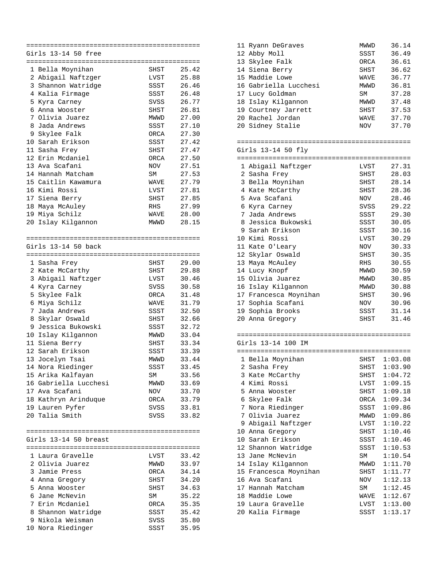|                 | Girls 13-14 50 free   |            |       |
|-----------------|-----------------------|------------|-------|
|                 |                       |            |       |
|                 | 1 Bella Moynihan      | SHST       | 25.42 |
|                 | 2 Abigail Naftzger    | LVST       | 25.88 |
|                 | 3 Shannon Watridge    | SSST       | 26.46 |
|                 | 4 Kalia Firmage       | SSST       | 26.48 |
|                 | 5 Kyra Carney         | SVSS       | 26.77 |
|                 | 6 Anna Wooster        | SHST       | 26.81 |
| 7               | Olivia Juarez         | MWWD       | 27.00 |
|                 | 8 Jada Andrews        | SSST       | 27.10 |
|                 |                       |            |       |
| 9               | Skylee Falk           | ORCA       | 27.30 |
|                 | 10 Sarah Erikson      | SSST       | 27.42 |
|                 | 11 Sasha Frey         | SHST       | 27.47 |
|                 | 12 Erin Mcdaniel      | ORCA       | 27.50 |
| 13              | Ava Scafani           | NOV        | 27.51 |
|                 | 14 Hannah Matcham     | SM         | 27.53 |
|                 | 15 Caitlin Kawamura   | WAVE       | 27.79 |
|                 | 16 Kimi Rossi         | LVST       | 27.81 |
|                 | 17 Siena Berry        | SHST       | 27.85 |
| 18              | Maya McAuley          | <b>RHS</b> | 27.99 |
|                 | 19 Miya Schilz        | WAVE       | 28.00 |
|                 | 20 Islay Kilgannon    | MWWD       | 28.15 |
|                 |                       |            |       |
|                 |                       |            |       |
|                 | Girls 13-14 50 back   |            |       |
|                 |                       |            |       |
|                 | 1 Sasha Frey          | SHST       | 29.00 |
|                 | 2 Kate McCarthy       | SHST       | 29.88 |
|                 | 3 Abigail Naftzger    | LVST       | 30.46 |
|                 | 4 Kyra Carney         | SVSS       | 30.58 |
|                 |                       |            |       |
|                 | 5 Skylee Falk         | ORCA       | 31.48 |
| б.              | Miya Schilz           | WAVE       | 31.79 |
| 7               | Jada Andrews          | SSST       | 32.50 |
| 8               | Skylar Oswald         | SHST       | 32.66 |
| 9               | Jessica Bukowski      | SSST       | 32.72 |
|                 | 10 Islay Kilgannon    | MWWD       | 33.04 |
|                 | 11 Siena Berry        | SHST       | 33.34 |
| 12 <sup>°</sup> | Sarah Erikson         | SSST       | 33.39 |
| 13              | Jocelyn Tsai          | MWWD       | 33.44 |
| 14              | Nora Riedinger        | SSST       | 33.45 |
|                 | 15 Arika Kalfayan     | SΜ         | 33.56 |
|                 | 16 Gabriella Lucchesi | MWWD       | 33.69 |
|                 | 17 Ava Scafani        | NOV        | 33.70 |
|                 | 18 Kathryn Arinduque  | ORCA       | 33.79 |
|                 | 19 Lauren Pyfer       | SVSS       | 33.81 |
|                 | 20 Talia Smith        | SVSS       | 33.82 |
|                 |                       |            |       |
|                 |                       |            |       |
|                 | Girls 13-14 50 breast |            |       |
|                 |                       |            |       |
|                 |                       |            |       |
|                 | 1 Laura Gravelle      | LVST       | 33.42 |
|                 | 2 Olivia Juarez       | MWWD       | 33.97 |
|                 | 3 Jamie Press         | ORCA       | 34.14 |
|                 | 4 Anna Gregory        | SHST       | 34.20 |
|                 | 5 Anna Wooster        | SHST       | 34.63 |
|                 | 6 Jane McNevin        | SΜ         | 35.22 |
|                 | 7 Erin Mcdaniel       | ORCA       | 35.35 |
|                 | 8 Shannon Watridge    | SSST       | 35.42 |
|                 | 9 Nikola Weisman      | SVSS       | 35.80 |
|                 | 10 Nora Riedinger     | SSST       | 35.95 |

| 11<br>Ryann DeGraves<br>12 Abby Moll<br>13 Skylee Falk<br>14 Siena Berry<br>15 Maddie Lowe<br>16 Gabriella Lucchesi | MWWD<br>SSST<br>ORCA<br>SHST<br>WAVE<br>MWWD | 36.14<br>36.49<br>36.61<br>36.62<br>36.77<br>36.81 |  |  |  |
|---------------------------------------------------------------------------------------------------------------------|----------------------------------------------|----------------------------------------------------|--|--|--|
| 17 Lucy Goldman                                                                                                     | SM                                           | 37.28                                              |  |  |  |
| 18 Islay Kilgannon                                                                                                  | MWWD                                         | 37.48                                              |  |  |  |
| 19 Courtney Jarrett                                                                                                 | SHST                                         | 37.53                                              |  |  |  |
| 20 Rachel Jordan                                                                                                    | WAVE                                         | 37.70                                              |  |  |  |
| 20 Sidney Stalie                                                                                                    | NOV                                          | 37.70                                              |  |  |  |
|                                                                                                                     |                                              |                                                    |  |  |  |
|                                                                                                                     |                                              |                                                    |  |  |  |
| Girls 13-14 50 fly                                                                                                  |                                              |                                                    |  |  |  |
|                                                                                                                     |                                              |                                                    |  |  |  |
| 1 Abigail Naftzger                                                                                                  | LVST                                         | 27.31                                              |  |  |  |
| 2 Sasha Frey                                                                                                        | SHST                                         | 28.03                                              |  |  |  |
| 3 Bella Moynihan                                                                                                    | SHST                                         | 28.14                                              |  |  |  |
| 4 Kate McCarthy                                                                                                     | SHST                                         | 28.36                                              |  |  |  |
| 5 Ava Scafani                                                                                                       | NOV                                          | 28.46                                              |  |  |  |
| 6 Kyra Carney                                                                                                       | SVSS                                         | 29.22                                              |  |  |  |
| 7 Jada Andrews                                                                                                      | SSST                                         | 29.30                                              |  |  |  |
| 8 Jessica Bukowski                                                                                                  | SSST                                         | 30.05                                              |  |  |  |
| 9 Sarah Erikson                                                                                                     | SSST                                         | 30.16                                              |  |  |  |
| 10 Kimi Rossi                                                                                                       | LVST                                         | 30.29                                              |  |  |  |
| 11 Kate O'Leary                                                                                                     | NOV                                          | 30.33                                              |  |  |  |
| 12 Skylar Oswald                                                                                                    | SHST                                         | 30.35                                              |  |  |  |
| 13 Maya McAuley                                                                                                     | <b>RHS</b>                                   | 30.55                                              |  |  |  |
| 14 Lucy Knopf                                                                                                       | MWWD                                         | 30.59                                              |  |  |  |
| 15 Olivia Juarez                                                                                                    | MWWD                                         | 30.85                                              |  |  |  |
| 16 Islay Kilgannon                                                                                                  | MWWD                                         | 30.88                                              |  |  |  |
| 17 Francesca Moynihan                                                                                               | SHST                                         | 30.96                                              |  |  |  |
| 17 Sophia Scafani                                                                                                   | NOV                                          | 30.96                                              |  |  |  |
| 19 Sophia Brooks                                                                                                    | SSST                                         | 31.14                                              |  |  |  |
| 20 Anna Gregory                                                                                                     | SHST                                         | 31.46                                              |  |  |  |
|                                                                                                                     |                                              |                                                    |  |  |  |

## Girls 13-14 100 IM

|    | ========================== |      |         |
|----|----------------------------|------|---------|
|    | 1 Bella Moynihan           | SHST | 1:03.08 |
|    | 2 Sasha Frey               | SHST | 1:03.90 |
| 3  | Kate McCarthy              | SHST | 1:04.72 |
| 4  | Kimi Rossi                 | LVST | 1:09.15 |
| 5  | Anna Wooster               | SHST | 1:09.18 |
| 6  | Skylee Falk                | ORCA | 1:09.34 |
| 7  | Nora Riedinger             | SSST | 1:09.86 |
|    | 7 Olivia Juarez            | MWWD | 1:09.86 |
| 9  | Abigail Naftzger           | LVST | 1:10.22 |
| 10 | Anna Gregory               | SHST | 1:10.46 |
| 10 | Sarah Erikson              | SSST | 1:10.46 |
| 12 | Shannon Watridge           | SSST | 1:10.53 |
| 13 | Jane McNevin               | SM   | 1:10.54 |
| 14 | Islay Kilgannon            | MWWD | 1:11.70 |
| 15 | Francesca Moynihan         | SHST | 1:11.77 |
| 16 | Ava Scafani                | NOV  | 1:12.13 |
|    | 17 Hannah Matcham          | SM   | 1:12.45 |
| 18 | Maddie Lowe                | WAVE | 1:12.67 |
| 19 | Laura Gravelle             | LVST | 1:13.00 |
|    | 20 Kalia Firmage           | SSST | 1:13.17 |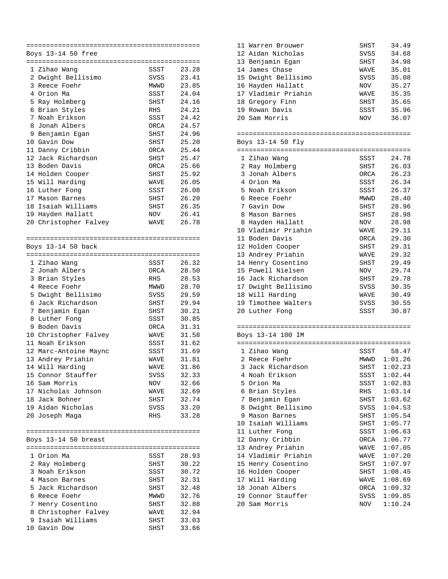| Boys 13-14 50 free    |      |       |
|-----------------------|------|-------|
|                       |      |       |
| 1 Zihao Wang          | SSST | 23.28 |
| 2 Dwight Bellisimo    | SVSS | 23.41 |
| 3 Reece Foehr         | MWWD | 23.85 |
| 4 Orion Ma            | SSST | 24.04 |
| 5 Ray Holmberg        | SHST | 24.16 |
| 6 Brian Styles        | RHS  | 24.21 |
| 7 Noah Erikson        | SSST | 24.42 |
| 8 Jonah Albers        | ORCA | 24.57 |
| 9 Benjamin Egan       | SHST | 24.96 |
| 10 Gavin Dow          | SHST | 25.20 |
| 11 Danny Cribbin      | ORCA | 25.44 |
| 12 Jack Richardson    | SHST | 25.47 |
| 13 Boden Davis        | ORCA | 25.66 |
|                       | SHST | 25.92 |
| 14 Holden Cooper      |      |       |
| 15 Will Harding       | WAVE | 26.05 |
| 16 Luther Fong        | SSST | 26.08 |
| 17 Mason Barnes       | SHST | 26.20 |
| 18 Isaiah Williams    | SHST | 26.35 |
| 19 Hayden Hallatt     | NOV  | 26.41 |
| 20 Christopher Falvey | WAVE | 26.78 |
|                       |      |       |
| Boys 13-14 50 back    |      |       |
|                       |      |       |
|                       |      |       |
| 1 Zihao Wang          | SSST | 26.32 |
| 2 Jonah Albers        | ORCA | 28.50 |
| 3 Brian Styles        | RHS  | 28.53 |
| 4 Reece Foehr         | MWWD | 28.70 |
| 5 Dwight Bellisimo    | SVSS | 29.59 |
| 6 Jack Richardson     | SHST | 29.94 |
| 7 Benjamin Egan       | SHST | 30.21 |
| 8 Luther Fong         | SSST | 30.85 |
| 9 Boden Davis         | ORCA | 31.31 |
| 10 Christopher Falvey | WAVE | 31.58 |
| 11 Noah Erikson       | SSST | 31.62 |
| 12 Marc-Antoine Maync | SSST | 31.69 |
| 13 Andrey Priahin     | WAVE | 31.81 |
| 14 Will Harding       | WAVE | 31.86 |
| 15 Connor Stauffer    | SVSS | 32.33 |
| 16 Sam Morris         | NOV  | 32.66 |
| 17 Nicholas Johnson   | WAVE | 32.69 |
| 18 Jack Bohner        | SHST | 32.74 |
| 19 Aidan Nicholas     | SVSS | 33.20 |
| 20 Joseph Maga        | RHS  | 33.28 |
|                       |      |       |
|                       |      |       |
| Boys 13-14 50 breast  |      |       |
|                       |      |       |
| 1 Orion Ma            | SSST | 28.93 |
| 2 Ray Holmberg        | SHST | 30.22 |
| 3 Noah Erikson        | SSST | 30.72 |
| 4 Mason Barnes        | SHST | 32.31 |
| 5 Jack Richardson     | SHST | 32.48 |
| 6 Reece Foehr         | MWWD | 32.76 |
| 7 Henry Cosentino     | SHST | 32.88 |
| 8 Christopher Falvey  | WAVE | 32.94 |
| 9 Isaiah Williams     | SHST | 33.03 |
| 10 Gavin Dow          | SHST | 33.66 |

| 11 Warren Brouwer   | SHST       | 34.49 |
|---------------------|------------|-------|
| 12 Aidan Nicholas   | SVSS       | 34.68 |
| 13 Benjamin Egan    | SHST       | 34.98 |
| 14 James Chase      | WAVE       | 35.01 |
| 15 Dwight Bellisimo | SVSS       | 35.08 |
| 16 Hayden Hallatt   | NOV        | 35.27 |
| 17 Vladimir Priahin | WAVE       | 35.35 |
| 18 Gregory Finn     | SHST       | 35.65 |
| 19 Rowan Davis      | SSST       | 35.96 |
| 20 Sam Morris       | <b>NOV</b> | 36.07 |
|                     |            |       |

|         | ---------------------------------<br>__ |  |
|---------|-----------------------------------------|--|
| 11 E0 F |                                         |  |

|    | א⊤ד מר בד רד פגטם   |      |       |
|----|---------------------|------|-------|
|    |                     |      |       |
|    | 1 Zihao Wang        | SSST | 24.78 |
|    | 2 Ray Holmberg      | SHST | 26.03 |
|    | 3 Jonah Albers      | ORCA | 26.23 |
| 4  | Orion Ma            | SSST | 26.34 |
|    | 5 Noah Erikson      | SSST | 26.37 |
| 6  | Reece Foehr         | MWWD | 28.40 |
|    | 7 Gavin Dow         | SHST | 28.96 |
| 8  | Mason Barnes        | SHST | 28.98 |
| 8  | Hayden Hallatt      | NOV  | 28.98 |
|    | 10 Vladimir Priahin | WAVE | 29.11 |
|    | 11 Boden Davis      | ORCA | 29.30 |
|    | 12 Holden Cooper    | SHST | 29.31 |
|    | 13 Andrey Priahin   | WAVE | 29.32 |
|    | 14 Henry Cosentino  | SHST | 29.49 |
|    | 15 Powell Nielsen   | NOV  | 29.74 |
| 16 | Jack Richardson     | SHST | 29.78 |
| 17 | Dwight Bellisimo    | SVSS | 30.35 |
|    | 18 Will Harding     | WAVE | 30.49 |
|    | 19 Timothee Walters | SVSS | 30.55 |
|    | 20 Luther Fong      | SSST | 30.87 |
|    |                     |      |       |

|                   | ----------------- |
|-------------------|-------------------|
| Boys 13-14 100 IM |                   |

|    | 1 Zihao Wang        | SSST | 58.47   |
|----|---------------------|------|---------|
| 2  | Reece Foehr         | MWWD | 1:01.26 |
|    | 3 Jack Richardson   | SHST | 1:02.23 |
| 4  | Noah Erikson        | SSST | 1:02.44 |
|    | 5 Orion Ma          | SSST | 1:02.83 |
|    | 6 Brian Styles      | RHS  | 1:03.14 |
|    | 7 Benjamin Eqan     | SHST | 1:03.62 |
|    | 8 Dwight Bellisimo  | SVSS | 1:04.53 |
| 9  | Mason Barnes        | SHST | 1:05.54 |
| 10 | Isaiah Williams     | SHST | 1:05.77 |
| 11 | Luther Fong         | SSST | 1:06.63 |
|    | 12 Danny Cribbin    | ORCA | 1:06.77 |
|    | 13 Andrey Priahin   | WAVE | 1:07.05 |
|    | 14 Vladimir Priahin | WAVE | 1:07.20 |
|    | 15 Henry Cosentino  | SHST | 1:07.97 |
| 16 | Holden Cooper       | SHST | 1:08.45 |
| 17 | Will Harding        | WAVE | 1:08.69 |
| 18 | Jonah Albers        | ORCA | 1:09.32 |
| 19 | Connor Stauffer     | SVSS | 1:09.85 |
| 20 | Sam Morris          | NOV  | 1:10.24 |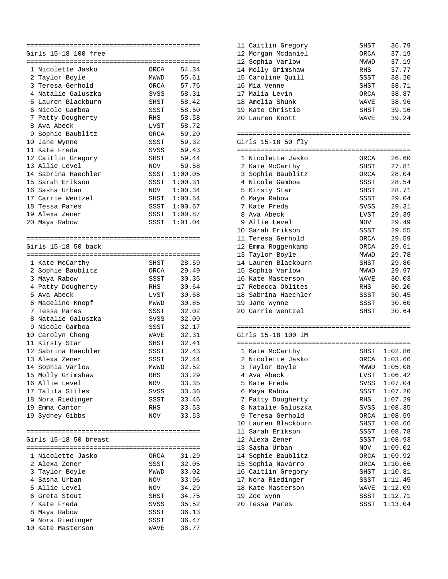|    | Girls 15-18 100 free            |      |                |
|----|---------------------------------|------|----------------|
|    |                                 |      |                |
|    | 1 Nicolette Jasko               | ORCA | 54.34          |
|    | 2 Taylor Boyle                  | MWWD | 55.61          |
| 3  | Teresa Gerhold                  | ORCA | 57.76          |
|    | 4 Natalie Galuszka              | SVSS | 58.31          |
| 5  | Lauren Blackburn                | SHST | 58.42          |
| 6  | Nicole Gamboa                   | SSST | 58.50          |
| 7  | Patty Dougherty                 | RHS  | 58.58          |
|    | 8 Ava Abeck                     | LVST | 58.72          |
| 9  | Sophie Baublitz                 | ORCA | 59.20          |
|    | 10 Jane Wynne                   | SSST | 59.32          |
|    | 11 Kate Freda                   | SVSS | 59.43          |
|    | 12 Caitlin Gregory              | SHST | 59.44          |
| 13 | Allie Level                     | NOV  | 59.58          |
|    | 14 Sabrina Haechler             | SSST | 1:00.05        |
|    | 15 Sarah Erikson                | SSST | 1:00.31        |
|    | 16 Sasha Urban                  | NOV  | 1:00.34        |
|    | 17 Carrie Wentzel               | SHST | 1:00.54        |
| 18 | Tessa Pares                     | SSST | 1:00.67        |
|    | 19 Alexa Zener                  | SSST | 1:00.87        |
|    | 20 Maya Rabow                   | SSST | 1:01.04        |
|    |                                 |      |                |
|    |                                 |      |                |
|    | Girls 15-18 50 back             |      |                |
|    |                                 |      |                |
|    | 1 Kate McCarthy                 | SHST | 28.59          |
|    | 2 Sophie Baublitz               | ORCA | 29.49          |
|    | 3 Maya Rabow                    | SSST | 30.35          |
|    | 4 Patty Dougherty               | RHS  | 30.64          |
|    | 5 Ava Abeck                     | LVST | 30.68          |
|    | 6 Madeline Knopf                |      | 30.85          |
| 7  |                                 | MWWD |                |
| 8  | Tessa Pares<br>Natalie Galuszka | SSST | 32.02          |
|    | 9 Nicole Gamboa                 | SVSS | 32.09<br>32.17 |
|    |                                 | SSST | 32.31          |
|    | 10 Carolyn Cheng                | WAVE |                |
|    | 11 Kirsty Star                  | SHST | 32.41          |
|    | 12 Sabrina Haechler             | SSST | 32.43          |
| 13 | Alexa Zener                     | SSST | 32.44          |
| 14 | Sophia Varlow                   | MWWD | 32.52          |
|    | 15 Molly Grimshaw               | RHS  | 33.29          |
|    | 16 Allie Level                  | NOV  | 33.35          |
|    | 17 Talita Stiles                | SVSS | 33.36          |
| 18 | Nora Riedinger                  | SSST | 33.46          |
|    | 19 Emma Cantor                  | RHS  | 33.53          |
|    | 19 Sydney Gibbs                 | NOV  | 33.53          |
|    |                                 |      |                |
|    |                                 |      |                |
|    | Girls 15-18 50 breast           |      |                |
|    |                                 |      |                |
|    | 1 Nicolette Jasko               | ORCA | 31.29          |
|    | 2 Alexa Zener                   | SSST | 32.05          |
|    | 3 Taylor Boyle                  | MWWD | 33.02          |
|    | 4 Sasha Urban                   | NOV  | 33.96          |
|    | 5 Allie Level                   | NOV  | 34.29          |
|    | 6 Greta Stout                   | SHST | 34.75          |
|    | 7 Kate Freda                    | SVSS | 35.52          |
|    | 8 Maya Rabow                    | SSST | 36.13          |
|    | 9 Nora Riedinger                | SSST | 36.47          |
|    | 10 Kate Masterson               | WAVE | 36.77          |

| 11 Caitlin Gregory | SHST | 36.79 |
|--------------------|------|-------|
| 12 Morgan Mcdaniel | ORCA | 37.19 |
| 12 Sophia Varlow   | MWWD | 37.19 |
| 14 Molly Grimshaw  | RHS  | 37.77 |
| 15 Caroline Ouill  | SSST | 38.20 |
| 16 Mia Venne       | SHST | 38.71 |
| 17 Malia Levin     | ORCA | 38.87 |
| 18 Amelia Shunk    | WAVE | 38.96 |
| 19 Kate Christie   | SHST | 39.16 |
| 20 Lauren Knott    | WAVE | 39.24 |
|                    |      |       |

============================================ Girls 15-18 50 fly

| ATTIR IY IQ JO IIY |                     |      |       |  |  |
|--------------------|---------------------|------|-------|--|--|
|                    |                     |      |       |  |  |
|                    | 1 Nicolette Jasko   | ORCA | 26.60 |  |  |
|                    | 2 Kate McCarthy     | SHST | 27.81 |  |  |
|                    | 3 Sophie Baublitz   | ORCA | 28.04 |  |  |
| 4                  | Nicole Gamboa       | SSST | 28.54 |  |  |
|                    | 5 Kirsty Star       | SHST | 28.71 |  |  |
| 6                  | Maya Rabow          | SSST | 29.04 |  |  |
| 7                  | Kate Freda          | SVSS | 29.31 |  |  |
| 8                  | Ava Abeck           | LVST | 29.39 |  |  |
| 9                  | Allie Level         | NOV  | 29.49 |  |  |
| 10                 | Sarah Erikson       | SSST | 29.55 |  |  |
|                    | 11 Teresa Gerhold   | ORCA | 29.59 |  |  |
|                    | 12 Emma Roggenkamp  | ORCA | 29.61 |  |  |
|                    | 13 Taylor Boyle     | MWWD | 29.78 |  |  |
| 14                 | Lauren Blackburn    | SHST | 29.80 |  |  |
|                    | 15 Sophia Varlow    | MWWD | 29.97 |  |  |
| 16                 | Kate Masterson      | WAVE | 30.03 |  |  |
| 17                 | Rebecca Oblites     | RHS  | 30.20 |  |  |
|                    | 18 Sabrina Haechler | SSST | 30.45 |  |  |
| 19                 | Jane Wynne          | SSST | 30.60 |  |  |
|                    | 20 Carrie Wentzel   | SHST | 30.64 |  |  |
|                    |                     |      |       |  |  |

| ____    | ------------------------- |
|---------|---------------------------|
| $15-18$ |                           |

|     | ==                 |      |         |
|-----|--------------------|------|---------|
|     | 1 Kate McCarthy    | SHST | 1:02.86 |
| 2   | Nicolette Jasko    | ORCA | 1:03.66 |
|     | 3 Taylor Boyle     | MWWD | 1:05.08 |
|     | 4 Ava Abeck        | LVST | 1:06.42 |
|     | 5 Kate Freda       | SVSS | 1:07.04 |
| 6   | Maya Rabow         | SSST | 1:07.20 |
|     | 7 Patty Dougherty  | RHS  | 1:07.29 |
| 8   | Natalie Galuszka   | SVSS | 1:08.35 |
| 9   | Teresa Gerhold     | ORCA | 1:08.59 |
| 10  | Lauren Blackburn   | SHST | 1:08.66 |
| 11  | Sarah Erikson      | SSST | 1:08.78 |
| 12. | Alexa Zener        | SSST | 1:08.93 |
|     | 13 Sasha Urban     | NOV  | 1:09.02 |
|     | 14 Sophie Baublitz | ORCA | 1:09.92 |
|     | 15 Sophia Navarro  | ORCA | 1:10.66 |
|     | 16 Caitlin Gregory | SHST | 1:10.81 |
|     | 17 Nora Riedinger  | SSST | 1:11.45 |
| 18  | Kate Masterson     | WAVE | 1:12.09 |
|     | 19 Zoe Wynn        | SSST | 1:12.71 |
| 20  | Tessa Pares        | SSST | 1:13.04 |
|     |                    |      |         |